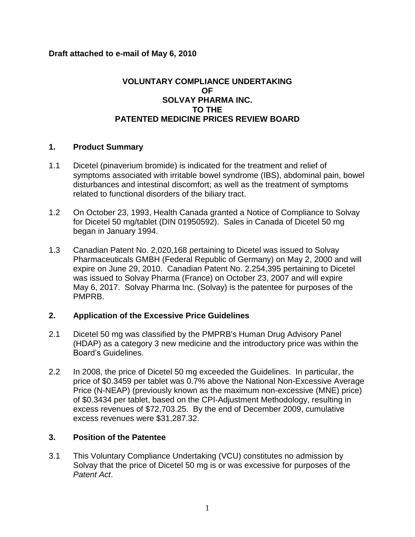## **Draft attached to e-mail of May 6, 2010**

# **VOLUNTARY COMPLIANCE UNDERTAKING OF SOLVAY PHARMA INC. TO THE PATENTED MEDICINE PRICES REVIEW BOARD**

#### **1. Product Summary**

- 1.1 Dicetel (pinaverium bromide) is indicated for the treatment and relief of symptoms associated with irritable bowel syndrome (IBS), abdominal pain, bowel disturbances and intestinal discomfort; as well as the treatment of symptoms related to functional disorders of the biliary tract.
- 1.2 On October 23, 1993, Health Canada granted a Notice of Compliance to Solvay for Dicetel 50 mg/tablet (DIN 01950592). Sales in Canada of Dicetel 50 mg began in January 1994.
- 1.3 Canadian Patent No. 2,020,168 pertaining to Dicetel was issued to Solvay Pharmaceuticals GMBH (Federal Republic of Germany) on May 2, 2000 and will expire on June 29, 2010. Canadian Patent No. 2,254,395 pertaining to Dicetel was issued to Solvay Pharma (France) on October 23, 2007 and will expire May 6, 2017. Solvay Pharma Inc. (Solvay) is the patentee for purposes of the PMPRB.

#### **2. Application of the Excessive Price Guidelines**

- 2.1 Dicetel 50 mg was classified by the PMPRB's Human Drug Advisory Panel (HDAP) as a category 3 new medicine and the introductory price was within the Board's Guidelines.
- 2.2 In 2008, the price of Dicetel 50 mg exceeded the Guidelines. In particular, the price of \$0.3459 per tablet was 0.7% above the National Non-Excessive Average Price (N-NEAP) (previously known as the maximum non-excessive (MNE) price) of \$0.3434 per tablet, based on the CPI-Adjustment Methodology, resulting in excess revenues of \$72,703.25. By the end of December 2009, cumulative excess revenues were \$31,287.32.

# **3. Position of the Patentee**

3.1 This Voluntary Compliance Undertaking (VCU) constitutes no admission by Solvay that the price of Dicetel 50 mg is or was excessive for purposes of the *Patent Act*.